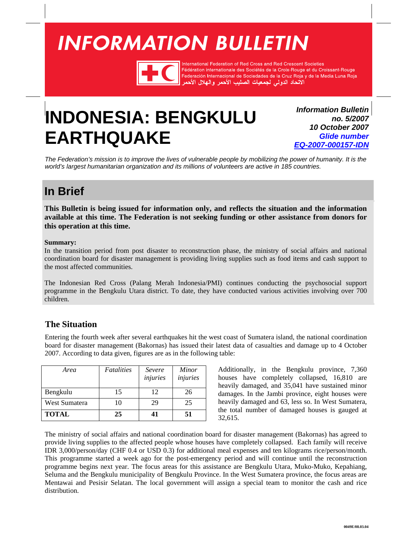# <span id="page-0-0"></span>**INFORMATION BULLETIN**



International Federation of Red Cross and Red Crescent Societies Fédération internationale des Sociétés de la Croix-Rouge et du Croissant-Rouge Federación Internacional de Sociedades de la Cruz Roja y de la Media Luna Roja<br>الاتحاد الدولي لجمعيات الصليب الأحمر والهلال الأحمر

# **INDONESIA: BENGKULU EARTHQUAKE**

*Information Bulletin no. 5/2007 10 October 2007 Glide number [EQ-2007-000157-IDN](http://www.glidenumber.net/glide/public/search/details.jsp?glide=17944&record=1&last=1)*

*The Federation's mission is to improve the lives of vulnerable people by mobilizing the power of humanity. It is the world's largest humanitarian organization and its millions of volunteers are active in 185 countries.* 

## **In Brief**

**This Bulletin is being issued for information only, and reflects the situation and the information available at this time. The Federation is not seeking funding or other assistance from donors for this operation at this time.** 

#### **Summary:**

In the transition period from post disaster to reconstruction phase, the ministry of social affairs and national coordination board for disaster management is providing living supplies such as food items and cash support to the most affected communities.

The Indonesian Red Cross (Palang Merah Indonesia/PMI) continues conducting the psychosocial support programme in the Bengkulu Utara district. To date, they have conducted various activities involving over 700 children.

### **The Situation**

Entering the fourth week after several earthquakes hit the west coast of Sumatera island, the national coordination board for disaster management (Bakornas) has issued their latest data of casualties and damage up to 4 October 2007. According to data given, figures are as in the following table:

| Area          | Fatalities | Severe<br>injuries | Minor<br>injuries |
|---------------|------------|--------------------|-------------------|
| Bengkulu      | 15         | 12                 | 26                |
| West Sumatera | 10         | 29                 | 25                |
| <b>TOTAL</b>  | 25         | 41                 | 51                |

Additionally, in the Bengkulu province, 7,360 houses have completely collapsed, 16,810 are heavily damaged, and 35,041 have sustained minor damages. In the Jambi province, eight houses were heavily damaged and 63, less so. In West Sumatera, the total number of damaged houses is gauged at 32,615.

The ministry of social affairs and national coordination board for disaster management (Bakornas) has agreed to provide living supplies to the affected people whose houses have completely collapsed. Each family will receive IDR 3,000/person/day (CHF 0.4 or USD 0.3) for additional meal expenses and ten kilograms rice/person/month. This programme started a week ago for the post-emergency period and will continue until the reconstruction programme begins next year. The focus areas for this assistance are Bengkulu Utara, Muko-Muko, Kepahiang, Seluma and the Bengkulu municipality of Bengkulu Province. In the West Sumatera province, the focus areas are Mentawai and Pesisir Selatan. The local government will assign a special team to monitor the cash and rice distribution.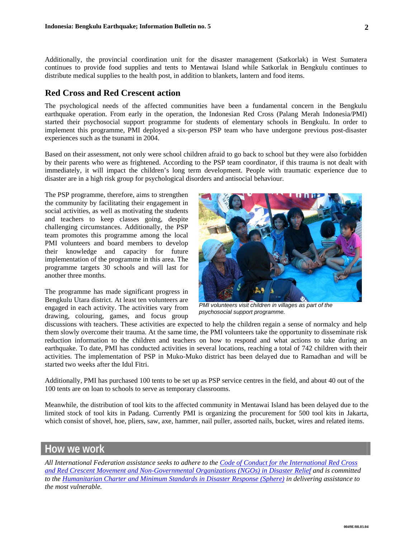Additionally, the provincial coordination unit for the disaster management (Satkorlak) in West Sumatera continues to provide food supplies and tents to Mentawai Island while Satkorlak in Bengkulu continues to distribute medical supplies to the health post, in addition to blankets, lantern and food items.

#### **Red Cross and Red Crescent action**

The psychological needs of the affected communities have been a fundamental concern in the Bengkulu earthquake operation. From early in the operation, the Indonesian Red Cross (Palang Merah Indonesia/PMI) started their psychosocial support programme for students of elementary schools in Bengkulu. In order to implement this programme, PMI deployed a six-person PSP team who have undergone previous post-disaster experiences such as the tsunami in 2004.

Based on their assessment, not only were school children afraid to go back to school but they were also forbidden by their parents who were as frightened. According to the PSP team coordinator, if this trauma is not dealt with immediately, it will impact the children's long term development. People with traumatic experience due to disaster are in a high risk group for psychological disorders and antisocial behaviour.

The PSP programme, therefore, aims to strengthen the community by facilitating their engagement in social activities, as well as motivating the students and teachers to keep classes going, despite challenging circumstances. Additionally, the PSP team promotes this programme among the local PMI volunteers and board members to develop their knowledge and capacity for future implementation of the programme in this area. The programme targets 30 schools and will last for another three months.

The programme has made significant progress in Bengkulu Utara district. At least ten volunteers are engaged in each activity. The activities vary from drawing, colouring, games, and focus group



*PMI volunteers visit children in villages as part of the psychosocial support programme.* 

discussions with teachers. These activities are expected to help the children regain a sense of normalcy and help them slowly overcome their trauma. At the same time, the PMI volunteers take the opportunity to disseminate risk reduction information to the children and teachers on how to respond and what actions to take during an earthquake. To date, PMI has conducted activities in several locations, reaching a total of 742 children with their activities. The implementation of PSP in Muko-Muko district has been delayed due to Ramadhan and will be started two weeks after the Idul Fitri.

Additionally, PMI has purchased 100 tents to be set up as PSP service centres in the field, and about 40 out of the 100 tents are on loan to schools to serve as temporary classrooms.

Meanwhile, the distribution of tool kits to the affected community in Mentawai Island has been delayed due to the limited stock of tool kits in Padang. Currently PMI is organizing the procurement for 500 tool kits in Jakarta, which consist of shovel, hoe, pliers, saw, axe, hammer, nail puller, assorted nails, bucket, wires and related items.

### **How we work**

*All International Federation assistance seeks to adhere to the [Code of Conduct for the Internatio](http://www.ifrc.org/publicat/conduct/index.asp)nal Red Cross and Red Crescent Movement and Non-Governmental Organizations (NGOs) in Disaster Relief and is committed to the [Humanitarian Charter and Minimum Standards in Disaster Response \(Sphere\)](http://www.sphereproject.org/) in delivering assistance to the most vulnerable.*